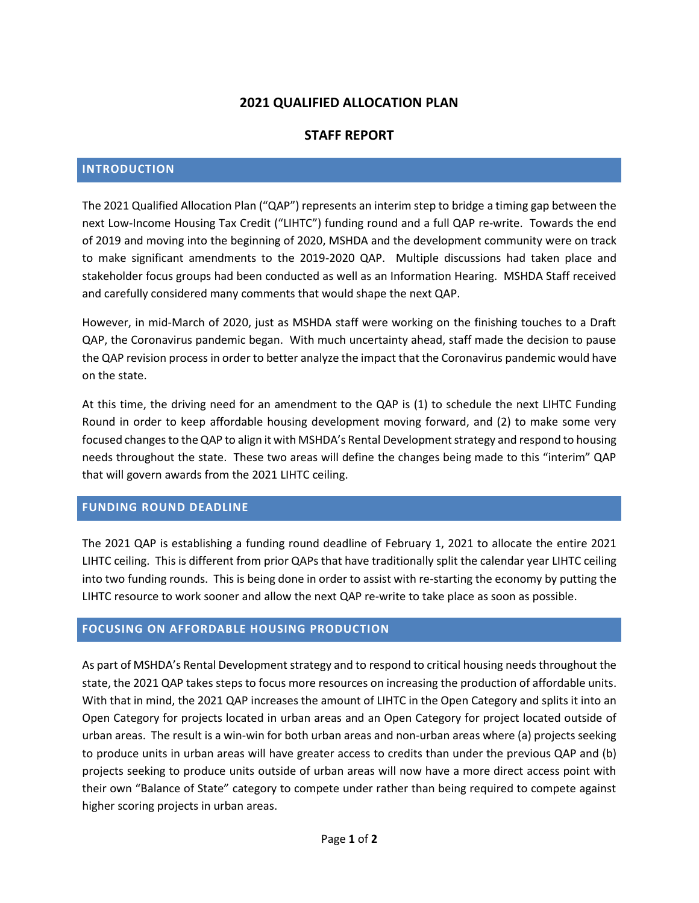# **2021 QUALIFIED ALLOCATION PLAN**

## **STAFF REPORT**

#### **INTRODUCTION**

The 2021 Qualified Allocation Plan ("QAP") represents an interim step to bridge a timing gap between the next Low-Income Housing Tax Credit ("LIHTC") funding round and a full QAP re-write. Towards the end of 2019 and moving into the beginning of 2020, MSHDA and the development community were on track to make significant amendments to the 2019-2020 QAP. Multiple discussions had taken place and stakeholder focus groups had been conducted as well as an Information Hearing. MSHDA Staff received and carefully considered many comments that would shape the next QAP.

However, in mid-March of 2020, just as MSHDA staff were working on the finishing touches to a Draft QAP, the Coronavirus pandemic began. With much uncertainty ahead, staff made the decision to pause the QAP revision process in order to better analyze the impact that the Coronavirus pandemic would have on the state.

At this time, the driving need for an amendment to the QAP is (1) to schedule the next LIHTC Funding Round in order to keep affordable housing development moving forward, and (2) to make some very focused changes to the QAP to align it with MSHDA's Rental Development strategy and respond to housing needs throughout the state. These two areas will define the changes being made to this "interim" QAP that will govern awards from the 2021 LIHTC ceiling.

#### **FUNDING ROUND DEADLINE**

The 2021 QAP is establishing a funding round deadline of February 1, 2021 to allocate the entire 2021 LIHTC ceiling. This is different from prior QAPs that have traditionally split the calendar year LIHTC ceiling into two funding rounds. This is being done in order to assist with re-starting the economy by putting the LIHTC resource to work sooner and allow the next QAP re-write to take place as soon as possible.

## **FOCUSING ON AFFORDABLE HOUSING PRODUCTION**

As part of MSHDA's Rental Development strategy and to respond to critical housing needs throughout the state, the 2021 QAP takes steps to focus more resources on increasing the production of affordable units. With that in mind, the 2021 QAP increases the amount of LIHTC in the Open Category and splits it into an Open Category for projects located in urban areas and an Open Category for project located outside of urban areas. The result is a win-win for both urban areas and non-urban areas where (a) projects seeking to produce units in urban areas will have greater access to credits than under the previous QAP and (b) projects seeking to produce units outside of urban areas will now have a more direct access point with their own "Balance of State" category to compete under rather than being required to compete against higher scoring projects in urban areas.